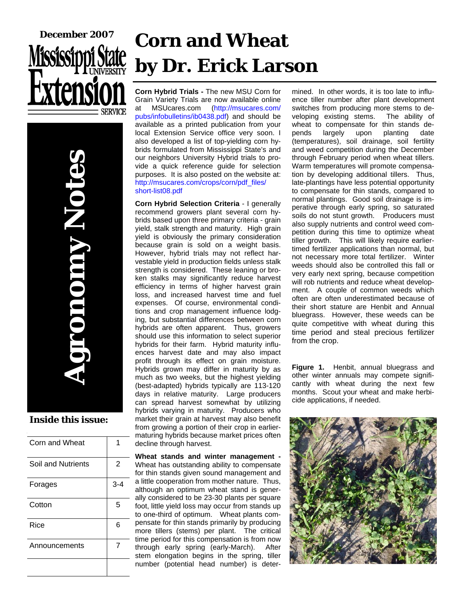

**Agronomy Notes DIODINY NOID** 

#### **Inside this issue:**

| Corn and Wheat     |                |
|--------------------|----------------|
| Soil and Nutrients | $\overline{2}$ |
| Forages            | 3-4            |
| Cotton             | 5              |
| Rice               | 6              |
| Announcements      | 7              |
|                    |                |

# **Corn and Wheat by Dr. Erick Larson**

**Corn Hybrid Trials -** The new MSU Corn for Grain Variety Trials are now available online at MSUcares.com (http://msucares.com/ pubs/infobulletins/ib0438.pdf) and should be available as a printed publication from your local Extension Service office very soon. I also developed a list of top-yielding corn hybrids formulated from Mississippi State's and our neighbors University Hybrid trials to provide a quick reference guide for selection purposes. It is also posted on the website at: http://msucares.com/crops/corn/pdf\_files/ short-list08.pdf

**Corn Hybrid Selection Criteria** - I generally recommend growers plant several corn hybrids based upon three primary criteria - grain yield, stalk strength and maturity. High grain yield is obviously the primary consideration because grain is sold on a weight basis. However, hybrid trials may not reflect harvestable yield in production fields unless stalk strength is considered. These leaning or broken stalks may significantly reduce harvest efficiency in terms of higher harvest grain loss, and increased harvest time and fuel expenses. Of course, environmental conditions and crop management influence lodging, but substantial differences between corn hybrids are often apparent. Thus, growers should use this information to select superior hybrids for their farm. Hybrid maturity influences harvest date and may also impact profit through its effect on grain moisture. Hybrids grown may differ in maturity by as much as two weeks, but the highest yielding (best-adapted) hybrids typically are 113-120 days in relative maturity. Large producers can spread harvest somewhat by utilizing hybrids varying in maturity. Producers who market their grain at harvest may also benefit from growing a portion of their crop in earliermaturing hybrids because market prices often decline through harvest.

**Wheat stands and winter management -**  Wheat has outstanding ability to compensate for thin stands given sound management and a little cooperation from mother nature. Thus, although an optimum wheat stand is generally considered to be 23-30 plants per square foot, little yield loss may occur from stands up to one-third of optimum. Wheat plants compensate for thin stands primarily by producing more tillers (stems) per plant. The critical time period for this compensation is from now through early spring (early-March). After stem elongation begins in the spring, tiller number (potential head number) is deter-

mined. In other words, it is too late to influence tiller number after plant development switches from producing more stems to developing existing stems. The ability of wheat to compensate for thin stands depends largely upon planting date (temperatures), soil drainage, soil fertility and weed competition during the December through February period when wheat tillers. Warm temperatures will promote compensation by developing additional tillers. Thus, late-plantings have less potential opportunity to compensate for thin stands, compared to normal plantings. Good soil drainage is imperative through early spring, so saturated soils do not stunt growth. Producers must also supply nutrients and control weed competition during this time to optimize wheat tiller growth. This will likely require earliertimed fertilizer applications than normal, but not necessary more total fertilizer. Winter weeds should also be controlled this fall or very early next spring, because competition will rob nutrients and reduce wheat development. A couple of common weeds which often are often underestimated because of their short stature are Henbit and Annual bluegrass. However, these weeds can be quite competitive with wheat during this time period and steal precious fertilizer from the crop.

**Figure 1.** Henbit, annual bluegrass and other winter annuals may compete significantly with wheat during the next few months. Scout your wheat and make herbicide applications, if needed.

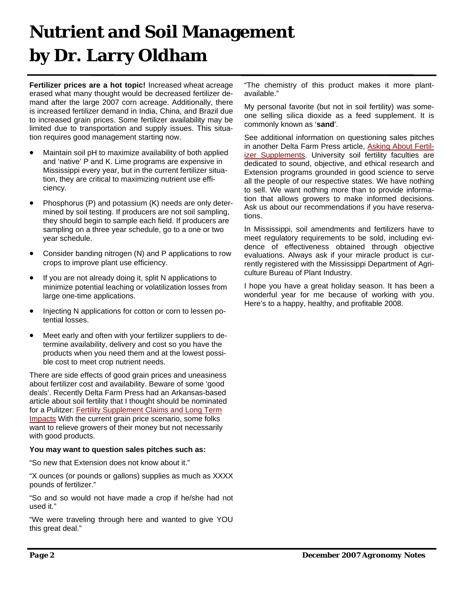### **Nutrient and Soil Management by Dr. Larry Oldham**

**Fertilizer prices are a hot topic!** Increased wheat acreage erased what many thought would be decreased fertilizer demand after the large 2007 corn acreage. Additionally, there is increased fertilizer demand in India, China, and Brazil due to increased grain prices. Some fertilizer availability may be limited due to transportation and supply issues. This situation requires good management starting now.

- Maintain soil pH to maximize availability of both applied and 'native' P and K. Lime programs are expensive in Mississippi every year, but in the current fertilizer situation, they are critical to maximizing nutrient use efficiency.
- Phosphorus (P) and potassium (K) needs are only determined by soil testing. If producers are not soil sampling, they should begin to sample each field. If producers are sampling on a three year schedule, go to a one or two year schedule.
- Consider banding nitrogen (N) and P applications to row crops to improve plant use efficiency.
- If you are not already doing it, split N applications to minimize potential leaching or volatilization losses from large one-time applications.
- Injecting N applications for cotton or corn to lessen potential losses.
- Meet early and often with your fertilizer suppliers to determine availability, delivery and cost so you have the products when you need them and at the lowest possible cost to meet crop nutrient needs.

There are side effects of good grain prices and uneasiness about fertilizer cost and availability. Beware of some 'good deals'. Recently Delta Farm Press had an Arkansas-based article about soil fertility that I thought should be nominated for a Pulitzer: Fertility Supplement Claims and Long Term Impacts With the current grain price scenario, some folks want to relieve growers of their money but not necessarily with good products.

#### **You may want to question sales pitches such as:**

"So new that Extension does not know about it."

"X ounces (or pounds or gallons) supplies as much as XXXX pounds of fertilizer."

"So and so would not have made a crop if he/she had not used it."

"We were traveling through here and wanted to give YOU this great deal."

"The chemistry of this product makes it more plantavailable."

My personal favorite (but not in soil fertility) was someone selling silica dioxide as a feed supplement. It is commonly known as '**sand**'.

See additional information on questioning sales pitches in another Delta Farm Press article, Asking About Fertilizer Supplements. University soil fertility faculties are dedicated to sound, objective, and ethical research and Extension programs grounded in good science to serve all the people of our respective states. We have nothing to sell. We want nothing more than to provide information that allows growers to make informed decisions. Ask us about our recommendations if you have reservations.

In Mississippi, soil amendments and fertilizers have to meet regulatory requirements to be sold, including evidence of effectiveness obtained through objective evaluations. Always ask if your miracle product is currently registered with the Mississippi Department of Agriculture Bureau of Plant Industry.

I hope you have a great holiday season. It has been a wonderful year for me because of working with you. Here's to a happy, healthy, and profitable 2008.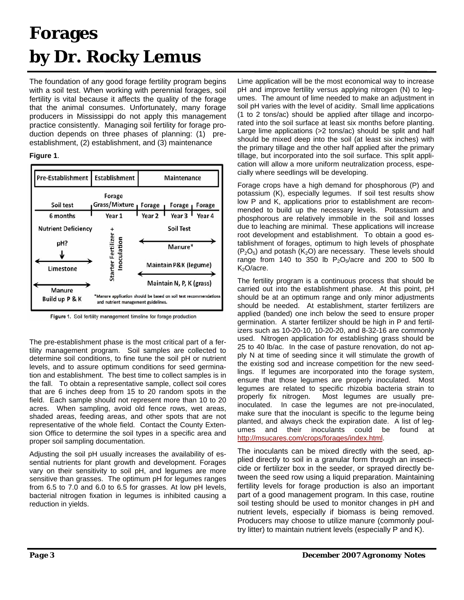### **Forages by Dr. Rocky Lemus**

The foundation of any good forage fertility program begins with a soil test. When working with perennial forages, soil fertility is vital because it affects the quality of the forage that the animal consumes. Unfortunately, many forage producers in Mississippi do not apply this management practice consistently. Managing soil fertility for forage production depends on three phases of planning: (1) preestablishment, (2) establishment, and (3) maintenance

#### **Figure 1**.



Figure 1. Soil fertility management timeline for forage production

The pre-establishment phase is the most critical part of a fertility management program. Soil samples are collected to determine soil conditions, to fine tune the soil pH or nutrient levels, and to assure optimum conditions for seed germination and establishment. The best time to collect samples is in the fall. To obtain a representative sample, collect soil cores that are 6 inches deep from 15 to 20 random spots in the field. Each sample should not represent more than 10 to 20 acres. When sampling, avoid old fence rows, wet areas, shaded areas, feeding areas, and other spots that are not representative of the whole field. Contact the County Extension Office to determine the soil types in a specific area and proper soil sampling documentation.

Adjusting the soil pH usually increases the availability of essential nutrients for plant growth and development. Forages vary on their sensitivity to soil pH, and legumes are more sensitive than grasses. The optimum pH for legumes ranges from 6.5 to 7.0 and 6.0 to 6.5 for grasses. At low pH levels, bacterial nitrogen fixation in legumes is inhibited causing a reduction in yields.

Lime application will be the most economical way to increase pH and improve fertility versus applying nitrogen (N) to legumes. The amount of lime needed to make an adjustment in soil pH varies with the level of acidity. Small lime applications (1 to 2 tons/ac) should be applied after tillage and incorporated into the soil surface at least six months before planting. Large lime applications (>2 tons/ac) should be split and half should be mixed deep into the soil (at least six inches) with the primary tillage and the other half applied after the primary tillage, but incorporated into the soil surface. This split application will allow a more uniform neutralization process, especially where seedlings will be developing.

Forage crops have a high demand for phosphorous (P) and potassium (K), especially legumes. If soil test results show low P and K, applications prior to establishment are recommended to build up the necessary levels. Potassium and phosphorous are relatively immobile in the soil and losses due to leaching are minimal. These applications will increase root development and establishment. To obtain a good establishment of forages, optimum to high levels of phosphate  $(P_2O_5)$  and potash  $(K_2O)$  are necessary. These levels should range from 140 to 350 lb  $P_2O_5/$ acre and 200 to 500 lb K<sub>2</sub>O/acre.

The fertility program is a continuous process that should be carried out into the establishment phase. At this point, pH should be at an optimum range and only minor adjustments should be needed. At establishment, starter fertilizers are applied (banded) one inch below the seed to ensure proper germination. A starter fertilizer should be high in P and fertilizers such as 10-20-10, 10-20-20, and 8-32-16 are commonly used. Nitrogen application for establishing grass should be 25 to 40 lb/ac. In the case of pasture renovation, do not apply N at time of seeding since it will stimulate the growth of the existing sod and increase competition for the new seedlings. If legumes are incorporated into the forage system, ensure that those legumes are properly inoculated. Most legumes are related to specific rhizobia bacteria strain to properly fix nitrogen. Most legumes are usually preinoculated. In case the legumes are not pre-inoculated, make sure that the inoculant is specific to the legume being planted, and always check the expiration date. A list of legumes and their inoculants could be found at http://msucares.com/crops/forages/index.html.

The inoculants can be mixed directly with the seed, applied directly to soil in a granular form through an insecticide or fertilizer box in the seeder, or sprayed directly between the seed row using a liquid preparation. Maintaining fertility levels for forage production is also an important part of a good management program. In this case, routine soil testing should be used to monitor changes in pH and nutrient levels, especially if biomass is being removed. Producers may choose to utilize manure (commonly poultry litter) to maintain nutrient levels (especially P and K).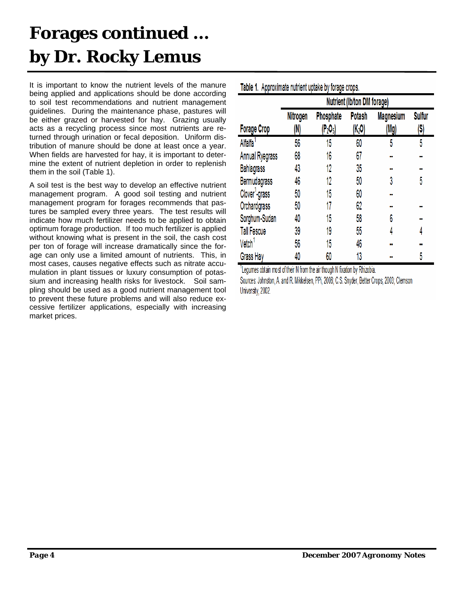## **Forages continued … by Dr. Rocky Lemus**

It is important to know the nutrient levels of the manure being applied and applications should be done according to soil test recommendations and nutrient management guidelines. During the maintenance phase, pastures will be either grazed or harvested for hay. Grazing usually acts as a recycling process since most nutrients are returned through urination or fecal deposition. Uniform distribution of manure should be done at least once a year. When fields are harvested for hay, it is important to determine the extent of nutrient depletion in order to replenish them in the soil (Table 1).

A soil test is the best way to develop an effective nutrient management program. A good soil testing and nutrient management program for forages recommends that pastures be sampled every three years. The test results will indicate how much fertilizer needs to be applied to obtain optimum forage production. If too much fertilizer is applied without knowing what is present in the soil, the cash cost per ton of forage will increase dramatically since the forage can only use a limited amount of nutrients. This, in most cases, causes negative effects such as nitrate accumulation in plant tissues or luxury consumption of potassium and increasing health risks for livestock. Soil sampling should be used as a good nutrient management tool to prevent these future problems and will also reduce excessive fertilizer applications, especially with increasing market prices.

|                            | Table 1. Approximate numerit uplake by forage crops.<br>Nutrient (Ib/ton DM forage) |                                     |        |                  |               |  |  |  |
|----------------------------|-------------------------------------------------------------------------------------|-------------------------------------|--------|------------------|---------------|--|--|--|
|                            | Nitrogen                                                                            | Phosphate                           | Potash | <b>Magnesium</b> | <b>Sulfur</b> |  |  |  |
| <b>Forage Crop</b>         | (N)                                                                                 | $\left[\text{P}_2\text{O}_5\right]$ | (K2O)  | (Mg)             | (S)           |  |  |  |
| Alfalfa <sup>1</sup>       | 56                                                                                  | 15                                  | 60     | 5                | 5             |  |  |  |
| Annual Ryegrass            | 68                                                                                  | 16                                  | 67     |                  |               |  |  |  |
| <b>Bahiagrass</b>          | 43                                                                                  | 12                                  | 35     |                  |               |  |  |  |
| Bermudagrass               | 46                                                                                  | 12                                  | 50     | 3                | 5             |  |  |  |
| Clover <sup>1</sup> -grass | 50                                                                                  | 15                                  | 60     |                  |               |  |  |  |
| Orchardgrass               | 50                                                                                  | 17                                  | 62     | 88               |               |  |  |  |
| Sorghum-Sudan              | 40                                                                                  | 15                                  | 58     | 6                |               |  |  |  |
| <b>Tall Fescue</b>         | 39                                                                                  | 19                                  | 55     | 4                | 4             |  |  |  |
| Vetch <sup>1</sup>         | 56                                                                                  | 15                                  | 46     |                  |               |  |  |  |
| Grass Hay                  | 40                                                                                  | 60                                  | 13     |                  | 5             |  |  |  |

Table 1 Annovimate nutrient untake by forgoe crops

"Legumes obtain most of their N from the air though N fixation by Rhizobia.

Sources: Johnston, A. and R. Mikkelsen, PPi, 2006; C.S. Snyder, Better Crops, 2003; Clemson University, 2002.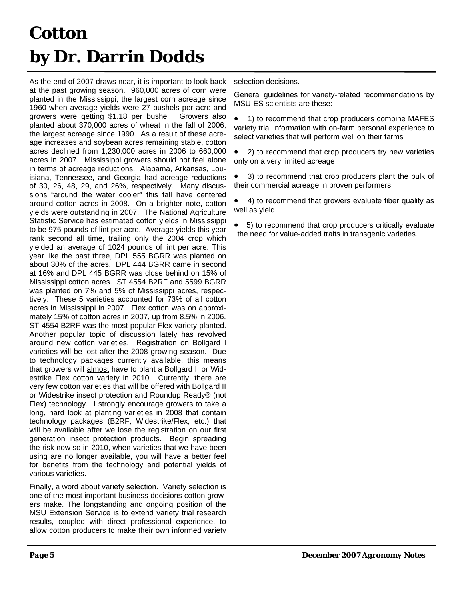## **Cotton by Dr. Darrin Dodds**

As the end of 2007 draws near, it is important to look back at the past growing season. 960,000 acres of corn were planted in the Mississippi, the largest corn acreage since 1960 when average yields were 27 bushels per acre and growers were getting \$1.18 per bushel. Growers also planted about 370,000 acres of wheat in the fall of 2006, the largest acreage since 1990. As a result of these acreage increases and soybean acres remaining stable, cotton acres declined from 1,230,000 acres in 2006 to 660,000 acres in 2007. Mississippi growers should not feel alone in terms of acreage reductions. Alabama, Arkansas, Louisiana, Tennessee, and Georgia had acreage reductions of 30, 26, 48, 29, and 26%, respectively. Many discussions "around the water cooler" this fall have centered around cotton acres in 2008. On a brighter note, cotton yields were outstanding in 2007. The National Agriculture Statistic Service has estimated cotton yields in Mississippi to be 975 pounds of lint per acre. Average yields this year rank second all time, trailing only the 2004 crop which yielded an average of 1024 pounds of lint per acre. This year like the past three, DPL 555 BGRR was planted on about 30% of the acres. DPL 444 BGRR came in second at 16% and DPL 445 BGRR was close behind on 15% of Mississippi cotton acres. ST 4554 B2RF and 5599 BGRR was planted on 7% and 5% of Mississippi acres, respectively. These 5 varieties accounted for 73% of all cotton acres in Mississippi in 2007. Flex cotton was on approximately 15% of cotton acres in 2007, up from 8.5% in 2006. ST 4554 B2RF was the most popular Flex variety planted. Another popular topic of discussion lately has revolved around new cotton varieties. Registration on Bollgard I varieties will be lost after the 2008 growing season. Due to technology packages currently available, this means that growers will almost have to plant a Bollgard II or Widestrike Flex cotton variety in 2010. Currently, there are very few cotton varieties that will be offered with Bollgard II or Widestrike insect protection and Roundup Ready® (not Flex) technology. I strongly encourage growers to take a long, hard look at planting varieties in 2008 that contain technology packages (B2RF, Widestrike/Flex, etc.) that will be available after we lose the registration on our first generation insect protection products. Begin spreading the risk now so in 2010, when varieties that we have been using are no longer available, you will have a better feel for benefits from the technology and potential yields of various varieties.

Finally, a word about variety selection. Variety selection is one of the most important business decisions cotton growers make. The longstanding and ongoing position of the MSU Extension Service is to extend variety trial research results, coupled with direct professional experience, to allow cotton producers to make their own informed variety

selection decisions.

General guidelines for variety-related recommendations by MSU-ES scientists are these:

• 1) to recommend that crop producers combine MAFES variety trial information with on-farm personal experience to select varieties that will perform well on their farms

• 2) to recommend that crop producers try new varieties only on a very limited acreage

• 3) to recommend that crop producers plant the bulk of their commercial acreage in proven performers

• 4) to recommend that growers evaluate fiber quality as well as yield

• 5) to recommend that crop producers critically evaluate the need for value-added traits in transgenic varieties.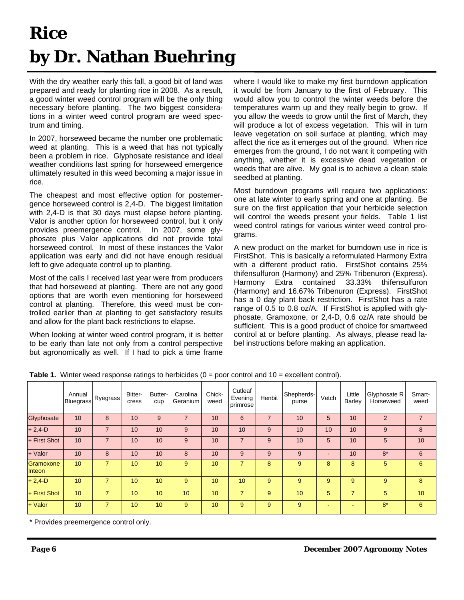## **Rice by Dr. Nathan Buehring**

With the dry weather early this fall, a good bit of land was prepared and ready for planting rice in 2008. As a result, a good winter weed control program will be the only thing necessary before planting. The two biggest considerations in a winter weed control program are weed spectrum and timing.

In 2007, horseweed became the number one problematic weed at planting. This is a weed that has not typically been a problem in rice. Glyphosate resistance and ideal weather conditions last spring for horseweed emergence ultimately resulted in this weed becoming a major issue in rice.

The cheapest and most effective option for postemergence horseweed control is 2,4-D. The biggest limitation with 2,4-D is that 30 days must elapse before planting. Valor is another option for horseweed control, but it only provides preemergence control. In 2007, some glyphosate plus Valor applications did not provide total horseweed control. In most of these instances the Valor application was early and did not have enough residual left to give adequate control up to planting.

Most of the calls I received last year were from producers that had horseweed at planting. There are not any good options that are worth even mentioning for horseweed control at planting. Therefore, this weed must be controlled earlier than at planting to get satisfactory results and allow for the plant back restrictions to elapse.

When looking at winter weed control program, it is better to be early than late not only from a control perspective but agronomically as well. If I had to pick a time frame where I would like to make my first burndown application it would be from January to the first of February. This would allow you to control the winter weeds before the temperatures warm up and they really begin to grow. If you allow the weeds to grow until the first of March, they will produce a lot of excess vegetation. This will in turn leave vegetation on soil surface at planting, which may affect the rice as it emerges out of the ground. When rice emerges from the ground, I do not want it competing with anything, whether it is excessive dead vegetation or weeds that are alive. My goal is to achieve a clean stale seedbed at planting.

Most burndown programs will require two applications: one at late winter to early spring and one at planting. Be sure on the first application that your herbicide selection will control the weeds present your fields. Table 1 list weed control ratings for various winter weed control programs.

A new product on the market for burndown use in rice is FirstShot. This is basically a reformulated Harmony Extra with a different product ratio. FirstShot contains 25% thifensulfuron (Harmony) and 25% Tribenuron (Express). Harmony Extra contained 33.33% thifensulfuron (Harmony) and 16.67% Tribenuron (Express). FirstShot has a 0 day plant back restriction. FirstShot has a rate range of 0.5 to 0.8 oz/A. If FirstShot is applied with glyphosate, Gramoxone, or 2,4-D, 0.6 oz/A rate should be sufficient. This is a good product of choice for smartweed control at or before planting. As always, please read label instructions before making an application.

|                     | Annual<br><b>Bluegrass</b> | Ryegrass       | Bitter-<br>cress | Butter-<br>cup  | Carolina<br>Geranium | Chick-<br>weed | Cutleaf<br>Evening<br>primrose | Henbit         | Shepherds-<br>purse | Vetch | Little<br><b>Barley</b> | Glyphosate R<br>Horseweed | Smart-<br>weed  |
|---------------------|----------------------------|----------------|------------------|-----------------|----------------------|----------------|--------------------------------|----------------|---------------------|-------|-------------------------|---------------------------|-----------------|
| Glyphosate          | 10                         | 8              | 10               | 9               | $\overline{7}$       | 10             | 6                              | $\overline{7}$ | 10                  | 5     | 10                      | $\overline{2}$            | $\overline{7}$  |
| $+2,4$ -D           | 10                         | $\overline{7}$ | 10               | 10              | 9                    | 10             | 10                             | 9              | 10                  | 10    | 10                      | 9                         | 8               |
| + First Shot        | 10                         |                | 10               | 10              | 9                    | 10             | 7                              | 9              | 10                  | 5     | 10                      | 5                         | 10              |
| + Valor             | 10                         | 8              | 10               | 10              | 8                    | 10             | 9                              | 9              | 9                   |       | 10                      | $8*$                      | 6               |
| Gramoxone<br>Inteon | 10                         | 7              | 10               | 10 <sup>1</sup> | 9                    | 10             | 7                              | 8              | 9                   | 8     | 8                       | 5                         | 6               |
| $+ 2, 4 - D$        | 10                         | $\overline{7}$ | 10               | 10              | 9                    | 10             | 10                             | 9              | 9                   | 9     | 9                       | 9                         | 8               |
| $+$ First Shot      | 10                         |                | 10               | 10              | 10                   | 10             | 7                              | 9              | 10                  | 5     | $\overline{7}$          | 5                         | 10 <sup>°</sup> |
| $+$ Valor           | 10                         | $\overline{7}$ | 10               | 10              | 9                    | 10             | 9                              | 9              | 9                   | ۰     |                         | $8*$                      | $6^{\circ}$     |

**Table 1.** Winter weed response ratings to herbicides (0 = poor control and 10 = excellent control).

\* Provides preemergence control only.